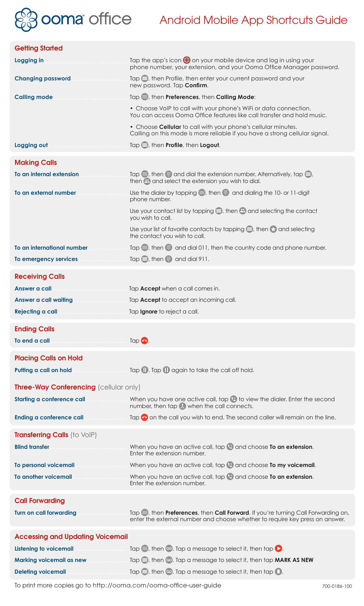

## Ooma<sup>off</sup>ice Android Mobile App Shortcuts Guide

| <b>Getting Started</b>                                                        |                                                                                                                                                                  |
|-------------------------------------------------------------------------------|------------------------------------------------------------------------------------------------------------------------------------------------------------------|
| Logging in                                                                    | Tap the app's icon so on your mobile device and log in using your<br>phone number, your extension, and your Ooma Office Manager password.                        |
| <b>Changing password</b>                                                      | Tap $\blacksquare$ , then Profile, then enter your current password and your<br>new password. Tap Confirm.                                                       |
| <b>Calling mode</b>                                                           | Tap S, then Preferences, then Calling Mode:                                                                                                                      |
|                                                                               | • Choose VoIP to call with your phone's WiFi or data connection.<br>You can access Ooma Office features like call transfer and hold music.                       |
|                                                                               | • Choose Cellular to call with your phone's cellular minutes.<br>Calling on this mode is more reliable if you have a strong cellular signal.                     |
| Logging out                                                                   | Tap , then Profile, then Logout.                                                                                                                                 |
| <b>Making Calls</b>                                                           |                                                                                                                                                                  |
| To an internal extension<br>.                                                 | Tap $\bigoplus$ , then $\bigoplus$ and dial the extension number. Alternatively, tap $\bigoplus$ ,<br>then <b>B</b> and select the extension you wish to dial.   |
| To an external number                                                         | Use the dialer by tapping $\bigoplus$ , then $\bigoplus$ and dialing the 10- or 11-digit<br>phone number.                                                        |
|                                                                               | Use your contact list by tapping $\bigcirc$ , then $\bigcirc$ and selecting the contact<br>you wish to call.                                                     |
|                                                                               | Use your list of favorite contacts by tapping $\blacksquare$ , then $\blacktriangleright$ and selecting<br>the contact you wish to call.                         |
| To an international number                                                    | Tap $\implies$ , then $\oplus$ and dial 011, then the country code and phone number.                                                                             |
| To emergency services                                                         | Tap $\bigcirc$ , then $\bigcirc$ and dial 911.                                                                                                                   |
| <b>Receiving Calls</b>                                                        |                                                                                                                                                                  |
| Answer a call                                                                 | Tap <b>Accept</b> when a call comes in.                                                                                                                          |
| <b>Answer a call waiting</b><br>.                                             | Tap <b>Accept</b> to accept an incoming call.                                                                                                                    |
|                                                                               |                                                                                                                                                                  |
| Rejecting a call                                                              | Tap Ignore to reject a call.                                                                                                                                     |
|                                                                               |                                                                                                                                                                  |
| <b>Ending Calls</b><br>To end a call                                          |                                                                                                                                                                  |
|                                                                               |                                                                                                                                                                  |
| <b>Placing Calls on Hold</b>                                                  |                                                                                                                                                                  |
| Putting a call on hold                                                        | $\Box$ Tap $\Box$ Tap $\Box$ again to take the call off hold.                                                                                                    |
| <b>Three-Way Conferencing (cellular only)</b>                                 |                                                                                                                                                                  |
| <b>Starting a conference call</b><br>.                                        | When you have one active call, tap 4 to view the dialer. Enter the second<br>number, then tap (x) when the call connects.                                        |
| Ending a conference call                                                      | Tap $\bigcirc$ on the call you wish to end. The second caller will remain on the line.                                                                           |
| Transferring Calls (to VoIP)                                                  |                                                                                                                                                                  |
| <b>Blind transfer</b>                                                         | When you have an active call, tap (2) and choose To an extension.<br>Enter the extension number.                                                                 |
| To personal voicemail                                                         | When you have an active call, tap <b>a</b> and choose <b>To my voicemail.</b>                                                                                    |
| To another voicemail                                                          | When you have an active call, tap $\heartsuit$ and choose To an extension.<br>Enter the extension number.                                                        |
|                                                                               |                                                                                                                                                                  |
| <b>Call Forwarding</b><br><b>Turn on call forwarding</b>                      | Tap , then Preferences, then Call Forward. If you're turning Call Forwarding on,<br>enter the external number and choose whether to require key press on answer. |
|                                                                               |                                                                                                                                                                  |
| <b>Accessing and Updating Voicemail</b><br><b>Listening to voicemail</b><br>. | Tap $\equiv$ , then $\infty$ . Tap a message to select it, then tap $\bullet$ .                                                                                  |
| Marking voicemail as new                                                      | Tap $\bigcirc$ , then $\omega$ . Tap a message to select it, then tap <b>MARK AS NEW</b>                                                                         |

To print more copies go to http://ooma.com/ooma-office-user-guide 700-0186-100